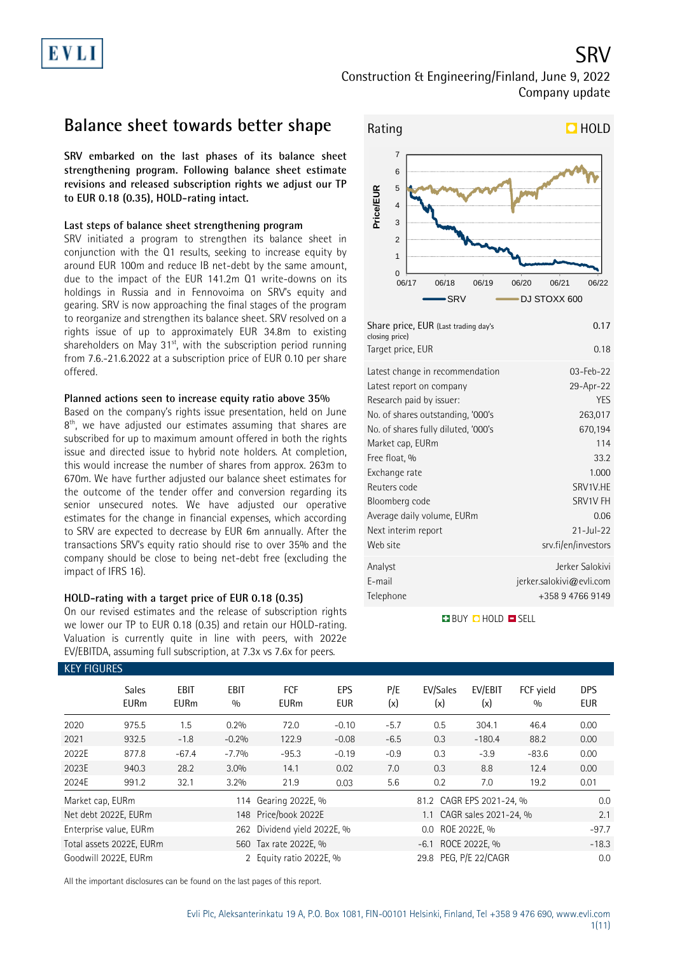Construction & Engineering/Finland, June 9, 2022 Company update

## **Balance sheet towards better shape**

**SRV embarked on the last phases of its balance sheet strengthening program. Following balance sheet estimate revisions and released subscription rights we adjust our TP to EUR 0.18 (0.35), HOLD-rating intact.**

### **Last steps of balance sheet strengthening program**

SRV initiated a program to strengthen its balance sheet in conjunction with the Q1 results, seeking to increase equity by around EUR 100m and reduce IB net-debt by the same amount, due to the impact of the EUR 141.2m Q1 write-downs on its holdings in Russia and in Fennovoima on SRV's equity and gearing. SRV is now approaching the final stages of the program to reorganize and strengthen its balance sheet. SRV resolved on a rights issue of up to approximately EUR 34.8m to existing shareholders on May 31<sup>st</sup>, with the subscription period running from 7.6.-21.6.2022 at a subscription price of EUR 0.10 per share offered.

### **Planned actions seen to increase equity ratio above 35%**

Based on the company's rights issue presentation, held on June 8<sup>th</sup>, we have adjusted our estimates assuming that shares are subscribed for up to maximum amount offered in both the rights issue and directed issue to hybrid note holders. At completion, this would increase the number of shares from approx. 263m to 670m. We have further adjusted our balance sheet estimates for the outcome of the tender offer and conversion regarding its senior unsecured notes. We have adjusted our operative estimates for the change in financial expenses, which according to SRV are expected to decrease by EUR 6m annually. After the transactions SRV's equity ratio should rise to over 35% and the company should be close to being net-debt free (excluding the impact of IFRS 16).

### **HOLD-rating with a target price of EUR 0.18 (0.35)**

On our revised estimates and the release of subscription rights we lower our TP to EUR 0.18 (0.35) and retain our HOLD-rating. Valuation is currently quite in line with peers, with 2022e EV/EBITDA, assuming full subscription, at 7.3x vs 7.6x for peers.



| Latest change in recommendation     | 03-Feb-22                |
|-------------------------------------|--------------------------|
| Latest report on company            | 29-Apr-22                |
| Research paid by issuer:            | <b>YES</b>               |
| No. of shares outstanding, '000's   | 263,017                  |
| No. of shares fully diluted, '000's | 670,194                  |
| Market cap, EURm                    | 114                      |
| Free float, %                       | 33.2                     |
| Exchange rate                       | 1.000                    |
| Reuters code                        | SRV1V.HE                 |
| Bloomberg code                      | SRV1V FH                 |
| Average daily volume, EURm          | 0.06                     |
| Next interim report                 | $21 -  u  - 22$          |
| Web site                            | srv.fi/en/investors      |
| Analyst                             | Jerker Salokivi          |
| E-mail                              | jerker.salokivi@evli.com |
| Telephone                           | +358 9 4766 9149         |

### **BUY CHOLD ESELL**

| <b>KEY FIGURES</b> |                             |                     |                    |                             |                   |            |                          |                           |                  |                          |  |  |
|--------------------|-----------------------------|---------------------|--------------------|-----------------------------|-------------------|------------|--------------------------|---------------------------|------------------|--------------------------|--|--|
|                    | <b>Sales</b><br><b>EURm</b> | EBIT<br><b>EURm</b> | <b>EBIT</b><br>0/0 | FCF<br><b>EURm</b>          | EPS<br><b>EUR</b> | P/E<br>(x) | EV/Sales<br>(x)          | EV/EBIT<br>(x)            | FCF yield<br>0/0 | <b>DPS</b><br><b>EUR</b> |  |  |
| 2020               | 975.5                       | 1.5                 | 0.2%               | 72.0                        | $-0.10$           | $-5.7$     | 0.5                      | 304.1                     | 46.4             | 0.00                     |  |  |
| 2021               | 932.5                       | $-1.8$              | $-0.2%$            | 122.9                       | $-0.08$           | $-6.5$     | 0.3                      | $-180.4$                  | 88.2             | 0.00                     |  |  |
| 2022E              | 877.8                       | $-67.4$             | $-7.7%$            | $-95.3$                     | $-0.19$           | $-0.9$     | 0.3                      | $-3.9$                    | $-83.6$          | 0.00                     |  |  |
| 2023E              | 940.3                       | 28.2                | 3.0%               | 14.1                        | 0.02              | 7.0        | 0.3                      | 8.8                       | 12.4             | 0.00                     |  |  |
| 2024E              | 991.2                       | 32.1                | 3.2%               | 21.9                        | 0.03              | 5.6        | 0.2                      | 7.0                       | 19.2             | 0.01                     |  |  |
| Market cap, EURm   |                             |                     |                    | 114 Gearing 2022E, %        |                   |            | 81.2 CAGR EPS 2021-24, % | 0.0                       |                  |                          |  |  |
|                    | Net debt 2022E, EURm        |                     |                    | 148 Price/book 2022E        |                   |            |                          | 1.1 CAGR sales 2021-24, % |                  | 2.1                      |  |  |
|                    | Enterprise value, EURm      |                     |                    | 262 Dividend yield 2022E, % |                   |            | 0.0 ROE 2022E, %         |                           |                  | $-97.7$                  |  |  |
|                    | Total assets 2022E, EURm    |                     |                    | 560 Tax rate 2022E, %       |                   |            | -6.1 ROCE 2022E, %       |                           |                  |                          |  |  |
|                    | Goodwill 2022E, EURm        |                     |                    | 2 Equity ratio 2022E, %     |                   |            | 29.8 PEG, P/E 22/CAGR    |                           |                  | 0.0                      |  |  |

All the important disclosures can be found on the last pages of this report.

SRV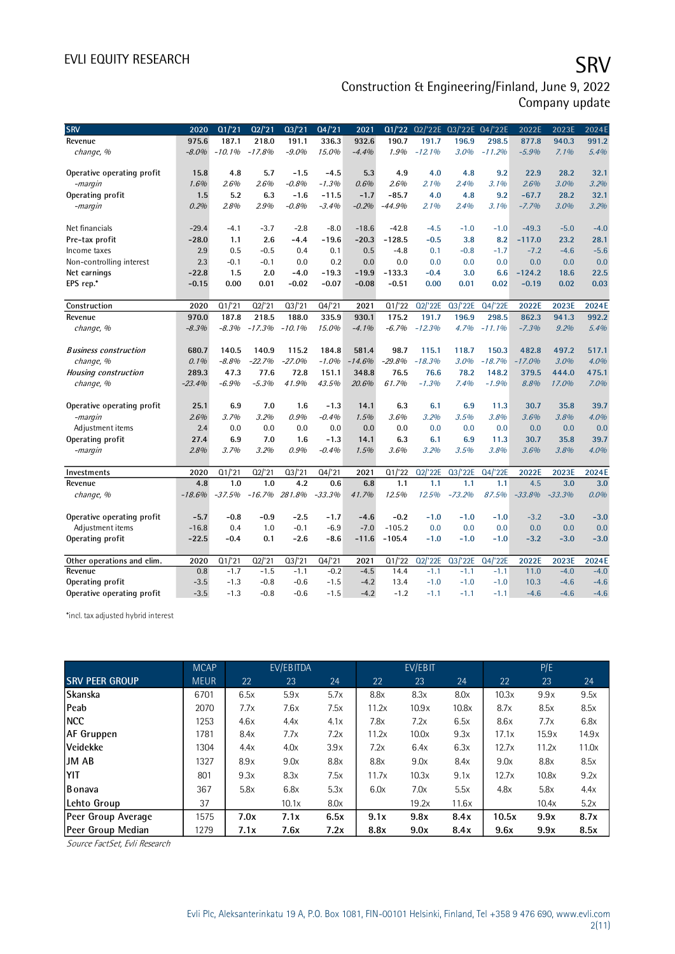# EVLI EQUITY RESEARCH SALL SOMETIME SAN SERVICE SERVICE SERVICE SERVICE SERVICE SERVICE SERVICE SERVICE SERVICE

### Construction & Engineering/Finland, June 9, 2022 Company update

| <b>SRV</b>                   | 2020     | Q1/21    | 02/21    | 03/21    | Q4/21    | 2021     |          |          | Q1/'22 Q2/'22E Q3/'22E Q4/'22E |                     | 2022E    | 2023E    | 2024E  |
|------------------------------|----------|----------|----------|----------|----------|----------|----------|----------|--------------------------------|---------------------|----------|----------|--------|
| Revenue                      | 975.6    | 187.1    | 218.0    | 191.1    | 336.3    | 932.6    | 190.7    | 191.7    | 196.9                          | 298.5               | 877.8    | 940.3    | 991.2  |
| change, %                    | $-8.0\%$ | $-10.1%$ | $-17.8%$ | $-9.0%$  | 15.0%    | $-4.4%$  | 1.9%     | $-12.1%$ | 3.0%                           | $-11.2%$            | $-5.9%$  | 7.1%     | 5.4%   |
|                              |          |          |          |          |          |          |          |          |                                |                     |          |          |        |
| Operative operating profit   | 15.8     | 4.8      | 5.7      | $-1.5$   | $-4.5$   | 5.3      | 4.9      | 4.0      | 4.8                            | 9.2                 | 22.9     | 28.2     | 32.1   |
| -margin                      | 1.6%     | 2.6%     | 2.6%     | $-0.8%$  | $-1.3%$  | 0.6%     | 2.6%     | 2.1%     | 2.4%                           | 3.1%                | 2.6%     | 3.0%     | 3.2%   |
| Operating profit             | 1.5      | 5.2      | 6.3      | $-1.6$   | $-11.5$  | $-1.7$   | $-85.7$  | 4.0      | 4.8                            | 9.2                 | $-67.7$  | 28.2     | 32.1   |
| -margin                      | 0.2%     | 2.8%     | 2.9%     | $-0.8%$  | $-3.4%$  | $-0.2%$  | $-44.9%$ | 2.1%     | 2.4%                           | 3.1%                | $-7.7%$  | 3.0%     | 3.2%   |
|                              |          |          |          |          |          |          |          |          |                                |                     |          |          |        |
| Net financials               | $-29.4$  | $-4.1$   | $-3.7$   | $-2.8$   | $-8.0$   | $-18.6$  | $-42.8$  | $-4.5$   | $-1.0$                         | $-1.0$              | $-49.3$  | $-5.0$   | $-4.0$ |
| Pre-tax profit               | $-28.0$  | 1.1      | 2.6      | -4.4     | $-19.6$  | $-20.3$  | $-128.5$ | $-0.5$   | 3.8                            | 8.2                 | $-117.0$ | 23.2     | 28.1   |
| Income taxes                 | 2.9      | 0.5      | $-0.5$   | 0.4      | 0.1      | 0.5      | $-4.8$   | 0.1      | $-0.8$                         | $-1.7$              | $-7.2$   | $-4.6$   | $-5.6$ |
| Non-controlling interest     | 2.3      | $-0.1$   | $-0.1$   | 0.0      | 0.2      | 0.0      | 0.0      | 0.0      | 0.0                            | 0.0                 | 0.0      | 0.0      | 0.0    |
| Net earnings                 | $-22.8$  | 1.5      | 2.0      | $-4.0$   | $-19.3$  | $-19.9$  | $-133.3$ | $-0.4$   | 3.0                            | 6.6                 | $-124.2$ | 18.6     | 22.5   |
| EPS rep.*                    | $-0.15$  | 0.00     | 0.01     | $-0.02$  | $-0.07$  | $-0.08$  | $-0.51$  | 0.00     | 0.01                           | 0.02                | $-0.19$  | 0.02     | 0.03   |
|                              |          |          |          |          |          |          |          |          |                                |                     |          |          |        |
| Construction                 | 2020     | Q1/21    | Q2/21    | Q3/21    | Q4/21    | 2021     | Q1/22    | Q2/'22E  | Q3/22E                         | Q4/22E              | 2022E    | 2023E    | 2024E  |
| Revenue                      | 970.0    | 187.8    | 218.5    | 188.0    | 335.9    | 930.1    | 175.2    | 191.7    | 196.9                          | 298.5               | 862.3    | 941.3    | 992.2  |
| change, %                    | $-8.3%$  | $-8.3%$  | $-17.3%$ | $-10.1%$ | 15.0%    | $-4.1%$  | $-6.7%$  | $-12.3%$ | 4.7%                           | $-11.1%$            | $-7.3%$  | 9.2%     | 5.4%   |
|                              |          |          |          |          |          |          |          |          |                                |                     |          |          |        |
| <b>Business construction</b> | 680.7    | 140.5    | 140.9    | 115.2    | 184.8    | 581.4    | 98.7     | 115.1    | 118.7                          | 150.3               | 482.8    | 497.2    | 517.1  |
| change, %                    | 0.1%     | $-8.8%$  | $-22.7%$ | $-27.0%$ | $-1.0%$  | $-14.6%$ | $-29.8%$ | $-18.3%$ | 3.0%                           | $-18.7%$            | $-17.0%$ | 3.0%     | 4.0%   |
| <b>Housing construction</b>  | 289.3    | 47.3     | 77.6     | 72.8     | 151.1    | 348.8    | 76.5     | 76.6     | 78.2                           | 148.2               | 379.5    | 444.0    | 475.1  |
| change, %                    | $-23.4%$ | $-6.9%$  | $-5.3%$  | 41.9%    | 43.5%    | 20.6%    | 61.7%    | $-1.3%$  | 7.4%                           | $-1.9%$             | 8.8%     | 17.0%    | 7.0%   |
|                              |          |          |          |          |          |          |          |          |                                |                     |          |          |        |
| Operative operating profit   | 25.1     | 6.9      | 7.0      | 1.6      | $-1.3$   | 14.1     | 6.3      | 6.1      | 6.9                            | 11.3                | 30.7     | 35.8     | 39.7   |
| -margin                      | 2.6%     | 3.7%     | 3.2%     | 0.9%     | $-0.4%$  | 1.5%     | 3.6%     | 3.2%     | 3.5%                           | 3.8%                | 3.6%     | 3.8%     | 4.0%   |
| Adjustment items             | 2.4      | 0.0      | 0.0      | 0.0      | 0.0      | 0.0      | 0.0      | 0.0      | 0.0                            | 0.0                 | 0.0      | 0.0      | 0.0    |
| Operating profit             | 27.4     | 6.9      | 7.0      | 1.6      | $-1.3$   | 14.1     | 6.3      | 6.1      | 6.9                            | 11.3                | 30.7     | 35.8     | 39.7   |
| -margin                      | 2.8%     | 3.7%     | 3.2%     | 0.9%     | $-0.4%$  | 1.5%     | 3.6%     | 3.2%     | 3.5%                           | 3.8%                | 3.6%     | 3.8%     | 4.0%   |
|                              |          |          |          |          |          |          |          |          |                                |                     |          |          |        |
| Investments                  | 2020     | Q1/21    | Q2/21    | Q3/21    | Q4/21    | 2021     | Q1/22    | Q2/'22E  | Q3/'22E                        | $\overline{Q4/22E}$ | 2022E    | 2023E    | 2024E  |
| Revenue                      | 4.8      | 1.0      | 1.0      | 4.2      | 0.6      | 6.8      | 1.1      | 1.1      | 1.1                            | 1.1                 | 4.5      | 3.0      | 3.0    |
| change, %                    | $-18.6%$ | $-37.5%$ | $-16.7%$ | 281.8%   | $-33.3%$ | 41.7%    | 12.5%    | 12.5%    | $-73.2%$                       | 87.5%               | $-33.8%$ | $-33.3%$ | 0.0%   |
|                              |          |          |          |          |          |          |          |          |                                |                     |          |          |        |
| Operative operating profit   | $-5.7$   | $-0.8$   | $-0.9$   | $-2.5$   | $-1.7$   | $-4.6$   | $-0.2$   | $-1.0$   | $-1.0$                         | $-1.0$              | $-3.2$   | $-3.0$   | $-3.0$ |
| Adjustment items             | $-16.8$  | 0.4      | 1.0      | $-0.1$   | $-6.9$   | $-7.0$   | $-105.2$ | 0.0      | 0.0                            | 0.0                 | 0.0      | 0.0      | 0.0    |
| Operating profit             | $-22.5$  | $-0.4$   | 0.1      | $-2.6$   | $-8.6$   | $-11.6$  | $-105.4$ | $-1.0$   | $-1.0$                         | $-1.0$              | $-3.2$   | $-3.0$   | $-3.0$ |
|                              |          |          |          |          |          |          |          |          |                                |                     |          |          |        |
| Other operations and elim.   | 2020     | Q1/21    | Q2/21    | Q3/21    | Q4/21    | 2021     | Q1/22    | Q2/'22E  | Q3/'22E                        | Q4/'22E             | 2022E    | 2023E    | 2024E  |
| Revenue                      | 0.8      | $-1.7$   | $-1.5$   | $-1.1$   | $-0.2$   | $-4.5$   | 14.4     | $-1.1$   | $-1.1$                         | $-1.1$              | 11.0     | $-4.0$   | $-4.0$ |
| Operating profit             | $-3.5$   | $-1.3$   | $-0.8$   | $-0.6$   | $-1.5$   | $-4.2$   | 13.4     | $-1.0$   | $-1.0$                         | $-1.0$              | 10.3     | $-4.6$   | $-4.6$ |
| Operative operating profit   | $-3.5$   | $-1.3$   | $-0.8$   | $-0.6$   | $-1.5$   | $-4.2$   | $-1.2$   | $-1.1$   | $-1.1$                         | $-1.1$              | $-4.6$   | $-4.6$   | $-4.6$ |

\*incl. tax adjusted hybrid interest

|                       | <b>MCAP</b> |      | EV/EBITDA |      |       | EV/EBIT |       |       | P/E   |       |
|-----------------------|-------------|------|-----------|------|-------|---------|-------|-------|-------|-------|
| <b>SRV PEER GROUP</b> | <b>MEUR</b> | 22   | 23        | 24   | 22    | 23      | 24    | 22    | 23    | 24    |
| Skanska               | 6701        | 6.5x | 5.9x      | 5.7x | 8.8x  | 8.3x    | 8.0x  | 10.3x | 9.9x  | 9.5x  |
| Peab                  | 2070        | 7.7x | 7.6x      | 7.5x | 11.2x | 10.9x   | 10.8x | 8.7x  | 8.5x  | 8.5x  |
| <b>NCC</b>            | 1253        | 4.6x | 4.4x      | 4.1x | 7.8x  | 7.2x    | 6.5x  | 8.6x  | 7.7x  | 6.8x  |
| AF Gruppen            | 1781        | 8.4x | 7.7x      | 7.2x | 11.2x | 10.0x   | 9.3x  | 17.1x | 15.9x | 14.9x |
| Veidekke              | 1304        | 4.4x | 4.0x      | 3.9x | 7.2x  | 6.4x    | 6.3x  | 12.7x | 11.2x | 11.0x |
| <b>JM AB</b>          | 1327        | 8.9x | 9.0x      | 8.8x | 8.8x  | 9.0x    | 8.4x  | 9.0x  | 8.8x  | 8.5x  |
| YIT                   | 801         | 9.3x | 8.3x      | 7.5x | 11.7x | 10.3x   | 9.1x  | 12.7x | 10.8x | 9.2x  |
| Bonava                | 367         | 5.8x | 6.8x      | 5.3x | 6.0x  | 7.0x    | 5.5x  | 4.8x  | 5.8x  | 4.4x  |
| Lehto Group           | 37          |      | 10.1x     | 8.0x |       | 19.2x   | 11.6x |       | 10.4x | 5.2x  |
| Peer Group Average    | 1575        | 7.0x | 7.1x      | 6.5x | 9.1x  | 9.8x    | 8.4x  | 10.5x | 9.9x  | 8.7x  |
| Peer Group Median     | 1279        | 7.1x | 7.6x      | 7.2x | 8.8x  | 9.0x    | 8.4x  | 9.6x  | 9.9x  | 8.5x  |

Source FactSet, Evli Research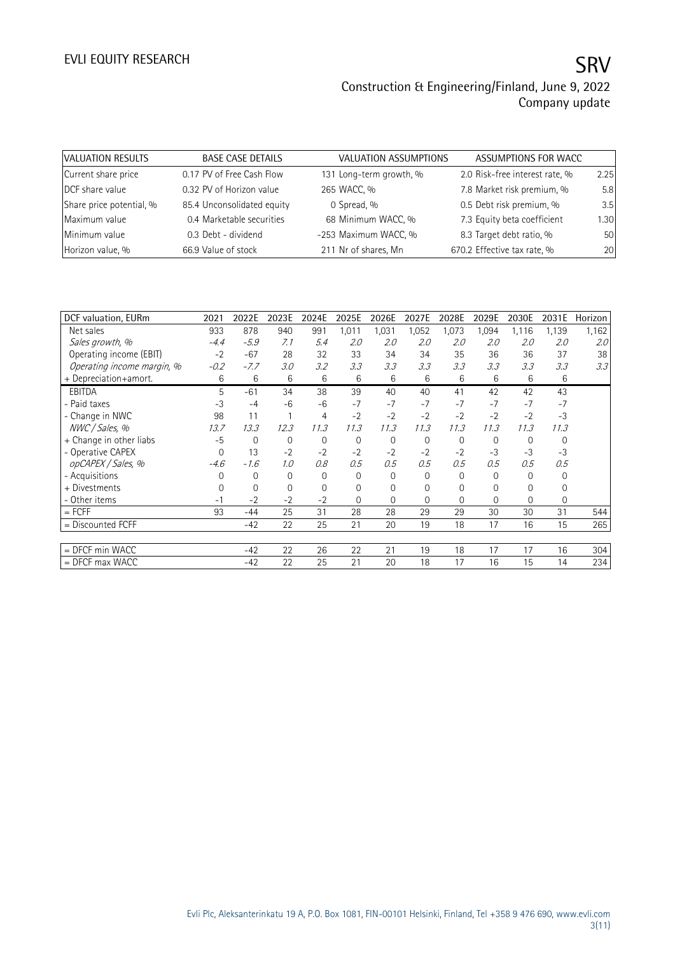| VALUATION RESULTS        | <b>BASE CASE DETAILS</b>   | VALUATION ASSUMPTIONS   | ASSUMPTIONS FOR WACC           |      |
|--------------------------|----------------------------|-------------------------|--------------------------------|------|
| Current share price      | 0.17 PV of Free Cash Flow  | 131 Long-term growth, % | 2.0 Risk-free interest rate, % | 2.25 |
| DCF share value          | 0.32 PV of Horizon value   | 265 WACC, %             | 7.8 Market risk premium, %     | 5.8  |
| Share price potential, % | 85.4 Unconsolidated equity | 0 Spread, %             | 0.5 Debt risk premium, %       | 3.5  |
| Maximum value            | 0.4 Marketable securities  | 68 Minimum WACC, %      | 7.3 Equity beta coefficient    | 1.30 |
| Minimum value            | 0.3 Debt - dividend        | -253 Maximum WACC, %    | 8.3 Target debt ratio, %       | 50   |
| Horizon value, %         | 66.9 Value of stock        | 211 Nr of shares, Mn    | 670.2 Effective tax rate, %    | 20   |

| DCF valuation, EURm        | 2021     | 2022E       | 2023E    | 2024E          | 2025E          | 2026E       | 2027E    | 2028E          | 2029E    | 2030E          | 2031E          | Horizon |
|----------------------------|----------|-------------|----------|----------------|----------------|-------------|----------|----------------|----------|----------------|----------------|---------|
| Net sales                  | 933      | 878         | 940      | 991            | 1,011          | 1,031       | 1,052    | 1,073          | 1,094    | 1,116          | 1,139          | 1,162   |
| Sales growth, %            | $-4.4$   | $-5.9$      | 7.1      | 5.4            | 2.0            | 2.0         | 2.0      | 2.0            | 2.0      | 2.0            | 2.0            | 2.0     |
| Operating income (EBIT)    | $-2$     | $-67$       | 28       | 32             | 33             | 34          | 34       | 35             | 36       | 36             | 37             | 38      |
| Operating income margin, % | $-0.2$   | $-7.7$      | 3.0      | 3.2            | 3.3            | 3.3         | 3.3      | 3.3            | 3.3      | 3.3            | 3.3            | 3.3     |
| + Depreciation+amort.      | 6        | 6           | 6        | 6              | 6              | 6           | 6        | 6              | 6        | 6              | 6              |         |
| <b>EBITDA</b>              | 5        | $-61$       | 34       | 38             | 39             | 40          | 40       | 41             | 42       | 42             | 43             |         |
| - Paid taxes               | $-3$     | $-4$        | $-6$     | $-6$           | $-7$           | $-7$        | $-7$     | $-7$           | $-7$     | $-7$           | $-7$           |         |
| - Change in NWC            | 98       | 11          |          | $\overline{4}$ | $-2$           | $-2$        | $-2$     | $-2$           | $-2$     | $-2$           | $-3$           |         |
| NWC / Sales, %             | 13.7     | 13.3        | 12.3     | 11.3           | 11.3           | 11.3        | 11.3     | 11.3           | 11.3     | 11.3           | 11.3           |         |
| + Change in other liabs    | $-5$     | $\mathbf 0$ | 0        | 0              | $\mathbf{0}$   | $\mathbf 0$ | 0        | $\mathbf 0$    | 0        | $\Omega$       | $\mathbf{0}$   |         |
| - Operative CAPEX          | 0        | 13          | $-2$     | $-2$           | $-2$           | $-2$        | $-2$     | $-2$           | $-3$     | $-3$           | $-3$           |         |
| opCAPEX / Sales, %         | $-4.6$   | $-1.6$      | 1.0      | 0.8            | 0.5            | 0.5         | 0.5      | 0.5            | 0.5      | 0.5            | 0.5            |         |
| - Acquisitions             | 0        | 0           | $\Omega$ | 0              | 0              | 0           | $\Omega$ | 0              | 0        | $\Omega$       | 0              |         |
| + Divestments              | $\Omega$ | 0           | 0        | $\Omega$       | $\mathbf 0$    | $\Omega$    | $\Omega$ | 0              | $\Omega$ | $\Omega$       | 0              |         |
| - Other items              | $-1$     | $-2$        | $-2$     | $-2$           | $\overline{0}$ | $\Omega$    | 0        | $\overline{0}$ | $\Omega$ | $\overline{0}$ | $\overline{0}$ |         |
| $=$ FCFF                   | 93       | $-44$       | 25       | 31             | 28             | 28          | 29       | 29             | 30       | 30             | 31             | 544     |
| = Discounted FCFF          |          | $-42$       | 22       | 25             | 21             | 20          | 19       | 18             | 17       | 16             | 15             | 265     |
|                            |          |             |          |                |                |             |          |                |          |                |                |         |
| $=$ DFCF min WACC          |          | $-42$       | 22       | 26             | 22             | 21          | 19       | 18             | 17       | 17             | 16             | 304     |
| $=$ DFCF max WACC          |          | $-42$       | 22       | 25             | 21             | 20          | 18       | 17             | 16       | 15             | 14             | 234     |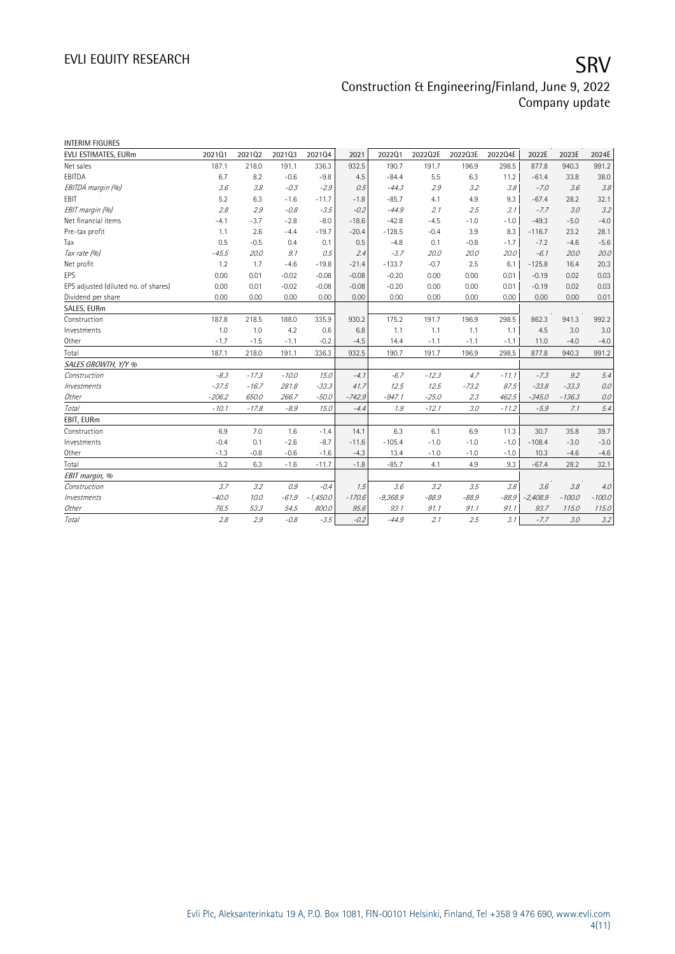| <b>INTERIM FIGURES</b>               |          |         |         |            |          |            |         |         |         |            |          |          |
|--------------------------------------|----------|---------|---------|------------|----------|------------|---------|---------|---------|------------|----------|----------|
| EVLI ESTIMATES, EURm                 | 202101   | 202102  | 202103  | 202104     | 2021     | 202201     | 2022Q2E | 2022Q3E | 2022Q4E | 2022E      | 2023E    | 2024E    |
| Net sales                            | 187.1    | 218.0   | 191.1   | 336.3      | 932.5    | 190.7      | 191.7   | 196.9   | 298.5   | 877.8      | 940.3    | 991.2    |
| EBITDA                               | 6.7      | 8.2     | $-0.6$  | $-9.8$     | 4.5      | $-84.4$    | 5.5     | 6.3     | 11.2    | $-61.4$    | 33.8     | 38.0     |
| EBITDA margin (%)                    | 3.6      | 3.8     | $-0.3$  | $-2.9$     | 0.5      | $-44.3$    | 2.9     | 3.2     | 3.8     | $-7.0$     | 3.6      | 3.8      |
| <b>FBIT</b>                          | 5.2      | 6.3     | $-1.6$  | $-11.7$    | $-1.8$   | $-85.7$    | 4.1     | 4.9     | 9.3     | $-67.4$    | 28.2     | 32.1     |
| EBIT margin (%)                      | 28       | 2.9     | $-0.8$  | $-3.5$     | $-0.2$   | $-44.9$    | 2.1     | 2.5     | 3.1     | $-7.7$     | 3.0      | 3.2      |
| Net financial items                  | $-4.1$   | $-3.7$  | $-2.8$  | $-8.0$     | $-18.6$  | $-42.8$    | $-4.5$  | $-1.0$  | $-1.0$  | $-49.3$    | $-5.0$   | $-4.0$   |
| Pre-tax profit                       | 1.1      | 2.6     | $-4.4$  | $-19.7$    | $-20.4$  | $-128.5$   | $-0.4$  | 3.9     | 8.3     | $-116.7$   | 23.2     | 28.1     |
| Tax                                  | 0.5      | $-0.5$  | 0.4     | 0.1        | 0.5      | $-4.8$     | 0.1     | $-0.8$  | $-1.7$  | $-7.2$     | $-4.6$   | $-5.6$   |
| Tax rate (%)                         | $-45.5$  | 20.0    | 9.1     | 0.5        | 2.4      | $-3.7$     | 20.0    | 20.0    | 20.0    | $-6.1$     | 20.0     | 20.0     |
| Net profit                           | 1.2      | 1.7     | $-4.6$  | $-19.8$    | $-21.4$  | $-133.7$   | $-0.7$  | 2.5     | 6.1     | $-125.8$   | 16.4     | 20.3     |
| <b>EPS</b>                           | 0.00     | 0.01    | $-0.02$ | $-0.08$    | $-0.08$  | $-0.20$    | 0.00    | 0.00    | 0.01    | $-0.19$    | 0.02     | 0.03     |
| EPS adjusted (diluted no. of shares) | 0.00     | 0.01    | $-0.02$ | $-0.08$    | $-0.08$  | $-0.20$    | 0.00    | 0.00    | 0.01    | $-0.19$    | 0.02     | 0.03     |
| Dividend per share                   | 0.00     | 0.00    | 0.00    | 0.00       | 0.00     | 0.00       | 0.00    | 0.00    | 0.00    | 0.00       | 0.00     | 0.01     |
| SALES, EURm                          |          |         |         |            |          |            |         |         |         |            |          |          |
| Construction                         | 187.8    | 218.5   | 188.0   | 335.9      | 930.2    | 175.2      | 191.7   | 196.9   | 298.5   | 862.3      | 941.3    | 992.2    |
| Investments                          | 1.0      | 1.0     | 4.2     | 0.6        | 6.8      | 1.1        | 1.1     | 1.1     | 1.1     | 4.5        | 3.0      | 3.0      |
| Other                                | $-1.7$   | $-1.5$  | $-1.1$  | $-0.2$     | $-4.5$   | 14.4       | $-1.1$  | $-1.1$  | $-1.1$  | 11.0       | $-4.0$   | $-4.0$   |
| Total                                | 187.1    | 218.0   | 191.1   | 336.3      | 932.5    | 190.7      | 191.7   | 196.9   | 298.5   | 877.8      | 940.3    | 991.2    |
| SALES GROWTH, Y/Y %                  |          |         |         |            |          |            |         |         |         |            |          |          |
| Construction                         | $-8.3$   | $-17.3$ | $-10.0$ | 15.0       | $-4.1$   | $-6.7$     | $-12.3$ | 4.7     | $-11.1$ | $-7.3$     | 9.2      | 5.4      |
| Investments                          | $-37.5$  | $-16.7$ | 281.8   | $-33.3$    | 41.7     | 12.5       | 12.5    | $-73.2$ | 87.5    | $-33.8$    | $-33.3$  | 0.0      |
| Other                                | $-206.2$ | 650.0   | 266.7   | $-50.0$    | $-742.9$ | $-947.1$   | $-25.0$ | 2.3     | 462.5   | $-345.0$   | $-136.3$ | 0.0      |
| Total                                | $-10.1$  | $-17.8$ | $-8.9$  | 15.0       | $-4.4$   | 1.9        | $-12.1$ | 3.0     | $-11.2$ | $-5.9$     | 7.1      | 5.4      |
| EBIT, EURm                           |          |         |         |            |          |            |         |         |         |            |          |          |
| Construction                         | 6.9      | 7.0     | 1.6     | $-1.4$     | 14.1     | 6.3        | 6.1     | 6.9     | 11.3    | 30.7       | 35.8     | 39.7     |
| Investments                          | $-0.4$   | 0.1     | $-2.6$  | $-8.7$     | $-11.6$  | $-105.4$   | $-1.0$  | $-1.0$  | $-1.0$  | $-108.4$   | $-3.0$   | $-3.0$   |
| Other                                | $-1.3$   | $-0.8$  | $-0.6$  | $-1.6$     | $-4.3$   | 13.4       | $-1.0$  | $-1.0$  | $-1.0$  | 10.3       | $-4.6$   | $-4.6$   |
| Total                                | 5.2      | 6.3     | $-1.6$  | $-11.7$    | $-1.8$   | $-85.7$    | 4.1     | 4.9     | 9.3     | $-67.4$    | 28.2     | 32.1     |
| EBIT margin, %                       |          |         |         |            |          |            |         |         |         |            |          |          |
| Construction                         | 3.7      | 3.2     | 0.9     | $-0.4$     | 1.5      | 3.6        | 3.2     | 3.5     | 3.8     | 3.6        | 3.8      | 4.0      |
| Investments                          | $-40.0$  | 10.0    | $-61.9$ | $-1,450.0$ | $-170.6$ | $-9,368.9$ | $-88.9$ | $-88.9$ | $-88.9$ | $-2,408.9$ | $-100.0$ | $-100.0$ |
| Other                                | 76.5     | 53.3    | 54.5    | 800.0      | 95.6     | 93.1       | 91.1    | 91.1    | 91.1    | 93.7       | 115.0    | 115.0    |
| Total                                | 2.8      | 2.9     | $-0.8$  | $-3.5$     | $-0.2$   | $-44.9$    | 2.1     | 2.5     | 3.1     | $-7.7$     | 3.0      | 3.2      |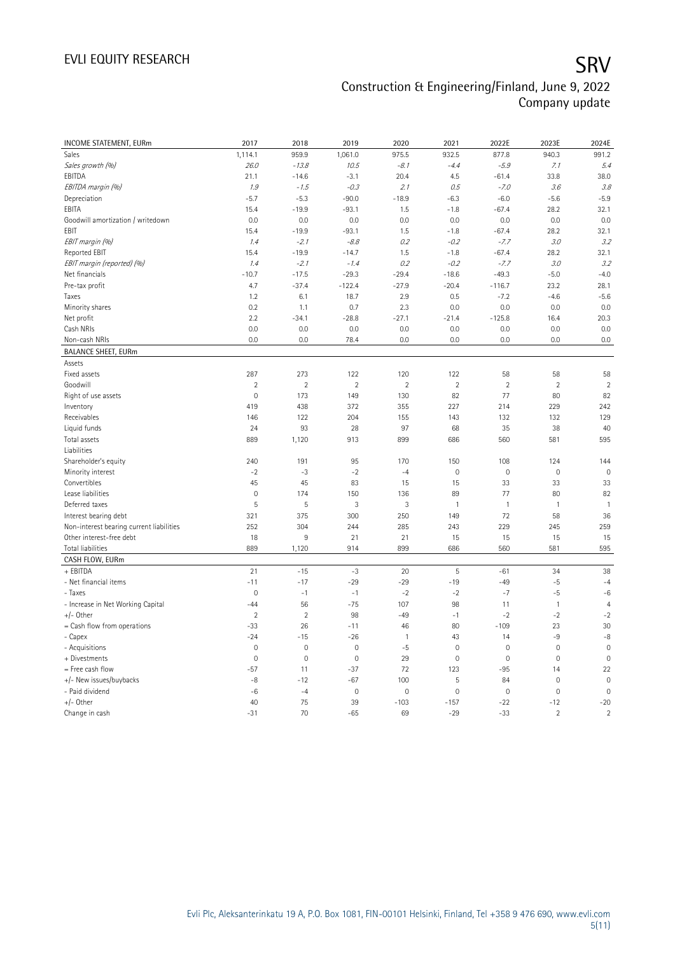| INCOME STATEMENT, EURm                   | 2017           | 2018                | 2019           | 2020                    | 2021        | 2022E               | 2023E                    | 2024E          |
|------------------------------------------|----------------|---------------------|----------------|-------------------------|-------------|---------------------|--------------------------|----------------|
| Sales                                    | 1,114.1        | 959.9               | 1,061.0        | 975.5                   | 932.5       | 877.8               | 940.3                    | 991.2          |
| Sales growth (%)                         | 26.0           | $-13.8$             | 10.5           | $-8.1$                  | $-4.4$      | $-5.9$              | 7.1                      | 5.4            |
| EBITDA                                   | 21.1           | $-14.6$             | $-3.1$         | 20.4                    | 4.5         | $-61.4$             | 33.8                     | 38.0           |
| EBITDA margin (%)                        | 1.9            | $-1.5$              | $-0.3$         | 2.1                     | 0.5         | $-7.0$              | 3.6                      | 3.8            |
| Depreciation                             | $-5.7$         | $-5.3$              | $-90.0$        | $-18.9$                 | $-6.3$      | $-6.0$              | $-5.6$                   | $-5.9$         |
| EBITA                                    | 15.4           | $-19.9$             | $-93.1$        | 1.5                     | $-1.8$      | $-67.4$             | 28.2                     | 32.1           |
| Goodwill amortization / writedown        | 0.0            | 0.0                 | 0.0            | 0.0                     | 0.0         | 0.0                 | 0.0                      | 0.0            |
| EBIT                                     | 15.4           | $-19.9$             | $-93.1$        | 1.5                     | $-1.8$      | $-67.4$             | 28.2                     | 32.1           |
| EBIT margin (%)                          | 1.4            | $-2.1$              | $-8.8$         | 0.2                     | $-0.2$      | $-7.7$              | 3.0                      | 3.2            |
| Reported EBIT                            | 15.4           | $-19.9$             | $-14.7$        | 1.5                     | $-1.8$      | $-67.4$             | 28.2                     | 32.1           |
| EBIT margin (reported) (%)               | 1.4            | $-2.1$              | $-1.4$         | 0.2                     | $-0.2$      | $-7.7$              | 3.0                      | 3.2            |
| Net financials                           | $-10.7$        | $-17.5$             | $-29.3$        | $-29.4$                 | $-18.6$     | $-49.3$             | $-5.0$                   | $-4.0$         |
| Pre-tax profit                           | 4.7            | $-37.4$             | $-122.4$       | $-27.9$                 | $-20.4$     | $-116.7$            | 23.2                     | 28.1           |
| Taxes                                    | 1.2            | 6.1                 | 18.7           | 2.9                     | 0.5         | $-7.2$              | $-4.6$                   | $-5.6$         |
| Minority shares                          | 0.2            | 1.1                 | 0.7            | 2.3                     | 0.0         | 0.0                 | 0.0                      | 0.0            |
| Net profit                               | 2.2            | $-34.1$             | $-28.8$        | $-27.1$                 | $-21.4$     | $-125.8$            | 16.4                     | 20.3           |
| Cash NRIs                                | 0.0            | 0.0                 | 0.0            | 0.0                     | 0.0         | 0.0                 | 0.0                      | 0.0            |
| Non-cash NRIs                            | 0.0            | 0.0                 | 78.4           | 0.0                     | 0.0         | 0.0                 | 0.0                      | 0.0            |
| <b>BALANCE SHEET, EURm</b>               |                |                     |                |                         |             |                     |                          |                |
| Assets                                   |                |                     |                |                         |             |                     |                          |                |
| Fixed assets                             | 287            | 273                 | 122            | 120                     | 122         | 58                  | 58                       | 58             |
| Goodwill                                 | $\overline{2}$ | $\overline{2}$      | $\overline{2}$ | $\overline{\mathbf{c}}$ | $\sqrt{2}$  | $\sqrt{2}$          | $\overline{2}$           | $\overline{2}$ |
| Right of use assets                      | $\mathbf 0$    | 173                 | 149            | 130                     | 82          | 77                  | 80                       | 82             |
| Inventory                                | 419            | 438                 | 372            | 355                     | 227         | 214                 | 229                      | 242            |
| Receivables                              | 146            | 122                 | 204            | 155                     | 143         | 132                 | 132                      | 129            |
| Liquid funds                             | 24             | 93                  | 28             | 97                      | 68          | 35                  | 38                       | 40             |
| Total assets                             | 889            | 1,120               | 913            | 899                     | 686         | 560                 | 581                      | 595            |
| Liabilities                              |                |                     |                |                         |             |                     |                          |                |
| Shareholder's equity                     | 240            | 191                 | 95             | 170                     | 150         | 108                 | 124                      | 144            |
| Minority interest                        | $-2$           | $-3$                | $-2$           | $-4$                    | $\mathbf 0$ | $\mathbf 0$         | $\mathbf 0$              | $\overline{0}$ |
| Convertibles                             | 45             | 45                  | 83             | 15                      | 15          | 33                  | 33                       | 33             |
| Lease liabilities                        | $\mathbf 0$    | 174                 | 150            | 136                     | 89          | 77                  | 80                       | 82             |
| Deferred taxes                           | 5              | 5                   | 3              | 3                       | 1           | $\mathbf{1}$        | $\mathbf{1}$             | $\mathbf{1}$   |
| Interest bearing debt                    | 321            | 375                 | 300            | 250                     | 149         | 72                  | 58                       | 36             |
| Non-interest bearing current liabilities | 252            | 304                 | 244            | 285                     | 243         | 229                 | 245                      | 259            |
| Other interest-free debt                 | 18             | 9                   | 21             | 21                      | 15          | 15                  | 15                       | 15             |
| Total liabilities                        | 889            | 1,120               | 914            | 899                     | 686         | 560                 | 581                      | 595            |
| CASH FLOW, EURm                          |                |                     |                |                         |             |                     |                          |                |
| + EBITDA                                 | 21             | $-15$               | $-3$           | 20                      | 5           | $-61$               | 34                       | 38             |
| - Net financial items                    | $-11$          | $-17$               | $-29$          | $-29$                   | $-19$       | $-49$               | $-5$                     | $-4$           |
| - Taxes                                  | $\mathbf 0$    | $-1$                | $-1$           | $-2$                    | $-2$        | $-7$                | $-5$                     | $-6$           |
| - Increase in Net Working Capital        | $-44$          | 56                  | $-75$          | 107                     | 98          | 11                  | $\mathbf{1}$             | $\overline{4}$ |
| $+/-$ Other                              | $\overline{2}$ | $\overline{2}$      | 98             | $-49$                   | $-1$        | $-2$                | $-2$                     | $-2$           |
| = Cash flow from operations              | $-33$          | 26                  | $-11$          | 46                      | 80          | $-109$              | 23                       | 30             |
| - Capex                                  | $-24$          | $-15$               | $-26$          | 1                       | 43          | 14                  | $-9$                     | $-8$           |
| - Acquisitions                           | $\mathbf 0$    | $\mathsf{O}\xspace$ | $\mathbf 0$    | $-5$                    | $\mathbf 0$ | $\mathsf{O}\xspace$ | $\mathbf 0$              | $\mathbf 0$    |
| + Divestments                            | $\mathbf 0$    | $\mathbf 0$         | $\mathbf 0$    | 29                      | $\mathbf 0$ | $\mathsf{O}\xspace$ | $\mathbf 0$              | $\mathbf 0$    |
| = Free cash flow                         | $-57$          | 11                  | $-37$          | 72                      | 123         | $-95$               | 14                       | 22             |
| +/- New issues/buybacks                  | $-8$           | $-12$               | $-67$          | 100                     | 5           | 84                  | $\mathbf{0}$             | $\mathbf 0$    |
| - Paid dividend                          | $-6$           | $-4$                | $\mathbf 0$    | $\mathbf 0$             | $\mathbf 0$ | $\mathsf{O}\xspace$ | $\mathbf 0$              | $\mathbf 0$    |
| $+/-$ Other                              | 40             | 75                  | 39             | $-103$                  | $-157$      | $-22$               | $-12$                    | $-20$          |
| Change in cash                           | $-31$          | 70                  | $-65$          | 69                      | $-29$       | $-33$               | $\overline{\phantom{a}}$ | $\overline{2}$ |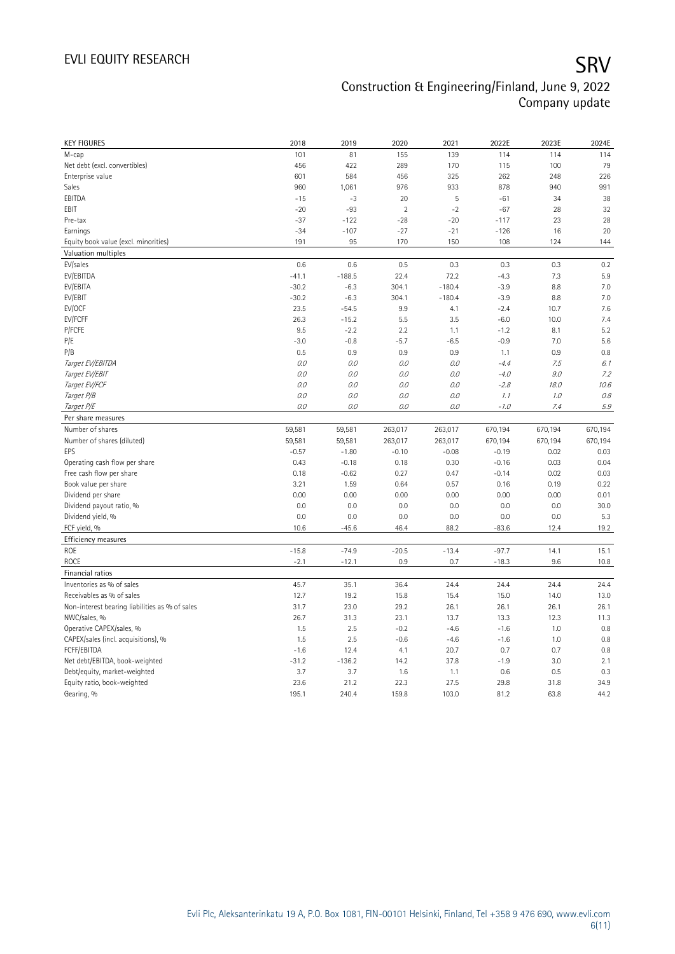| <b>KEY FIGURES</b>                             | 2018          | 2019          | 2020           | 2021           | 2022E        | 2023E        | 2024E        |
|------------------------------------------------|---------------|---------------|----------------|----------------|--------------|--------------|--------------|
| M-cap                                          | 101           | 81            | 155            | 139            | 114          | 114          | 114          |
| Net debt (excl. convertibles)                  | 456           | 422           | 289            | 170            | 115          | 100          | 79           |
| Enterprise value                               | 601           | 584           | 456            | 325            | 262          | 248          | 226          |
| Sales                                          | 960           | 1,061         | 976            | 933            | 878          | 940          | 991          |
| EBITDA                                         | $-15$         | $-3$          | 20             | $\overline{5}$ | $-61$        | 34           | 38           |
| EBIT                                           | $-20$         | $-93$         | $\overline{2}$ | $-2$           | $-67$        | 28           | 32           |
| Pre-tax                                        | $-37$         | $-122$        | $-28$          | $-20$          | $-117$       | 23           | 28           |
| Earnings                                       | $-34$         | $-107$        | $-27$          | $-21$          | $-126$       | 16           | 20           |
| Equity book value (excl. minorities)           | 191           | 95            | 170            | 150            | 108          | 124          | 144          |
| Valuation multiples                            |               |               |                |                |              |              |              |
| EV/sales                                       | 0.6           | 0.6           | 0.5            | 0.3            | 0.3          | 0.3          | 0.2          |
| EV/EBITDA                                      | $-41.1$       | $-188.5$      | 22.4           | 72.2           | $-4.3$       | 7.3          | 5.9          |
| EV/EBITA                                       | $-30.2$       | $-6.3$        | 304.1          | $-180.4$       | $-3.9$       | 8.8          | 7.0          |
| EV/EBIT                                        | $-30.2$       | $-6.3$        | 304.1          | $-180.4$       | $-3.9$       | 8.8          | 7.0          |
| EV/OCF                                         | 23.5          | $-54.5$       | 9.9            | 4.1            | $-2.4$       | 10.7         | 7.6          |
| EV/FCFF                                        | 26.3          | $-15.2$       | 5.5            | 3.5            | $-6.0$       | 10.0         | 7.4          |
| P/FCFE                                         | 9.5           | $-2.2$        | 2.2            | 1.1            | $-1.2$       | 8.1          | 5.2          |
| P/E                                            | $-3.0$        | $-0.8$        | $-5.7$         | $-6.5$         | $-0.9$       | 7.0          | 5.6          |
| P/B                                            | 0.5           | 0.9           | 0.9            | 0.9            | 1.1          | 0.9          | 0.8          |
| Target EV/EBITDA                               | $0.0$         | 0.0           | 0.0            | 0.0            | $-4.4$       | 7.5          | 6.1          |
| Target EV/EBIT                                 | $0.0$         | 0.0           | 0.0            | 0.0            | $-4.0$       | 9.0          | 7.2          |
| Target EV/FCF                                  | 0.0           | 0.0           | 0.0            | 0.0            | $-2.8$       | 18.0         | 10.6         |
| Target P/B                                     | 0.0           | 0.0           | 0.0            | 0.0            | 1.1          | $1.0$        | 0.8          |
| Target P/E                                     | 0.0           | 0.0           | 0.0            | 0.0            | $-1.0$       | 7.4          | $5.9\,$      |
| Per share measures                             |               |               |                |                |              |              |              |
|                                                |               |               |                |                |              |              |              |
|                                                |               |               |                |                |              |              |              |
| Number of shares                               | 59,581        | 59,581        | 263,017        | 263,017        | 670,194      | 670,194      | 670,194      |
| Number of shares (diluted)                     | 59,581        | 59,581        | 263,017        | 263,017        | 670,194      | 670,194      | 670,194      |
| EPS                                            | $-0.57$       | $-1.80$       | $-0.10$        | $-0.08$        | $-0.19$      | 0.02         | 0.03         |
| Operating cash flow per share                  | 0.43          | $-0.18$       | 0.18           | 0.30           | $-0.16$      | 0.03         | 0.04         |
| Free cash flow per share                       | 0.18          | $-0.62$       | 0.27           | 0.47           | $-0.14$      | 0.02         | 0.03         |
| Book value per share                           | 3.21          | 1.59          | 0.64           | 0.57           | 0.16         | 0.19         | 0.22         |
| Dividend per share                             | 0.00          | 0.00          | 0.00           | 0.00           | 0.00         | 0.00         | 0.01         |
| Dividend payout ratio, %                       | 0.0           | 0.0           | 0.0            | 0.0            | 0.0          | 0.0          | 30.0         |
| Dividend yield, %                              | 0.0           | 0.0           | 0.0            | 0.0            | 0.0          | 0.0          | 5.3          |
| FCF yield, %                                   | 10.6          | $-45.6$       | 46.4           | 88.2           | $-83.6$      | 12.4         | 19.2         |
| Efficiency measures                            |               |               |                |                |              |              |              |
| <b>ROE</b>                                     | $-15.8$       | $-74.9$       | $-20.5$        | $-13.4$        | $-97.7$      | 14.1         | 15.1         |
| <b>ROCE</b>                                    | $-2.1$        | $-12.1$       | 0.9            | 0.7            | $-18.3$      | 9.6          | 10.8         |
| Financial ratios                               |               |               |                |                |              |              |              |
| Inventories as % of sales                      | 45.7          | 35.1          | 36.4           | 24.4           | 24.4         | 24.4         | 24.4         |
| Receivables as % of sales                      | 12.7          | 19.2          | 15.8           | 15.4           | 15.0         | 14.0         | 13.0         |
| Non-interest bearing liabilities as % of sales | 31.7          | 23.0          | 29.2           | 26.1           | 26.1         | 26.1         | 26.1         |
| NWC/sales, %                                   | 26.7          | 31.3          | 23.1           | 13.7           | 13.3         | 12.3         | 11.3         |
| Operative CAPEX/sales, %                       | 1.5           | 2.5           | $-0.2$         | $-4.6$         | $-1.6$       | 1.0          | 0.8          |
| CAPEX/sales (incl. acquisitions), %            | 1.5           | 2.5           | $-0.6$         | $-4.6$         | $-1.6$       | 1.0          | 0.8          |
| FCFF/EBITDA                                    | $-1.6$        | 12.4          | 4.1            | 20.7           | 0.7          | 0.7          | 0.8          |
| Net debt/EBITDA, book-weighted                 | $-31.2$       | $-136.2$      | 14.2           | 37.8           | $-1.9$       | 3.0          | 2.1          |
| Debt/equity, market-weighted                   | 3.7           | 3.7           | 1.6            | 1.1            | 0.6          | 0.5          | 0.3          |
| Equity ratio, book-weighted<br>Gearing, %      | 23.6<br>195.1 | 21.2<br>240.4 | 22.3<br>159.8  | 27.5<br>103.0  | 29.8<br>81.2 | 31.8<br>63.8 | 34.9<br>44.2 |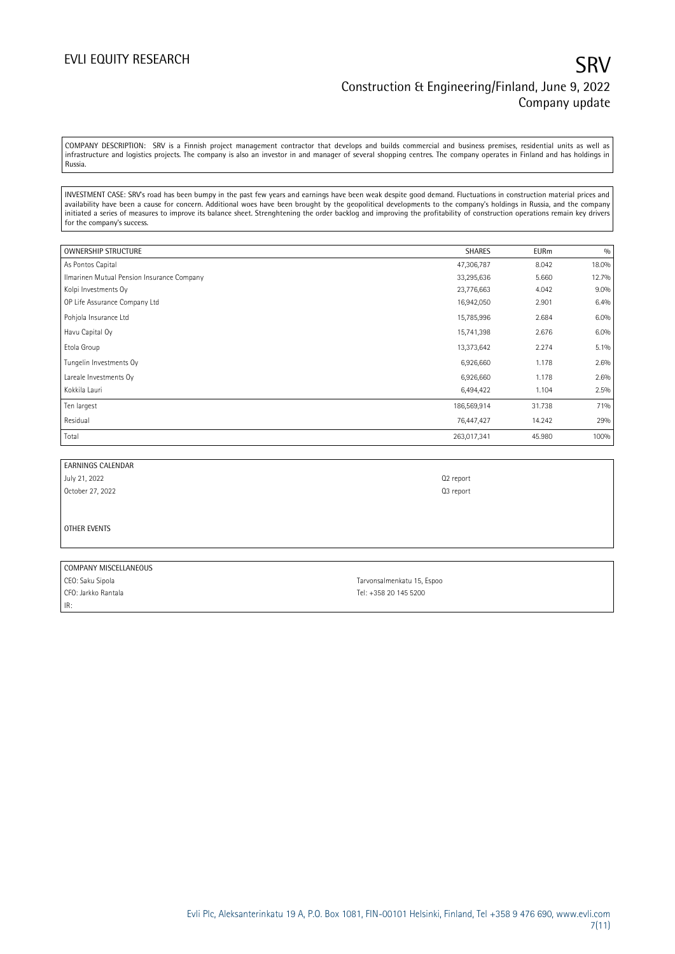## EVLI EQUITY RESEARCH SANTO THE SECOND STATE OF THE SANTO THE SANTO SANTO SANTO SANTO SANTO SANTO SANTO SANTO S Construction & Engineering/Finland, June 9, 2022 Company update

COMPANY DESCRIPTION: SRV is a Finnish project management contractor that develops and builds commercial and business premises, residential units as well as infrastructure and logistics projects. The company is also an investor in and manager of several shopping centres. The company operates in Finland and has holdings in Russia.

INVESTMENT CASE: SRV's road has been bumpy in the past few years and earnings have been weak despite good demand. Fluctuations in construction material prices and availability have been a cause for concern. Additional woes have been brought by the geopolitical developments to the company's holdings in Russia, and the company initiated a series of measures to improve its balance sheet. Strenghtening the order backlog and improving the profitability of construction operations remain key drivers for the company's success.

| OWNERSHIP STRUCTURE                        | <b>SHARES</b> | <b>EURm</b> | 0/0     |
|--------------------------------------------|---------------|-------------|---------|
| As Pontos Capital                          | 47,306,787    | 8.042       | 18.0%   |
| Ilmarinen Mutual Pension Insurance Company | 33,295,636    | 5.660       | 12.7%   |
| Kolpi Investments Oy                       | 23,776,663    | 4.042       | $9.0\%$ |
| OP Life Assurance Company Ltd              | 16,942,050    | 2.901       | 6.4%    |
| Pohjola Insurance Ltd                      | 15,785,996    | 2.684       | 6.0%    |
| Havu Capital Oy                            | 15,741,398    | 2.676       | 6.0%    |
| Etola Group                                | 13,373,642    | 2.274       | $5.1\%$ |
| Tungelin Investments Oy                    | 6,926,660     | 1.178       | 2.6%    |
| Lareale Investments Oy                     | 6,926,660     | 1.178       | 2.6%    |
| Kokkila Lauri                              | 6,494,422     | 1.104       | 2.5%    |
| Ten largest                                | 186,569,914   | 31.738      | 71%     |
| Residual                                   | 76,447,427    | 14.242      | 29%     |
| Total                                      | 263,017,341   | 45.980      | 100%    |

| EARNINGS CALENDAR |                       |
|-------------------|-----------------------|
| July 21, 2022     | Q <sub>2</sub> report |

October 27, 2022 **Q3 report Q3 report** 

OTHER EVENTS

| COMPANY MISCELLANEOUS |                            |  |
|-----------------------|----------------------------|--|
| CEO: Saku Sipola      | Tarvonsalmenkatu 15, Espoo |  |
| CFO: Jarkko Rantala   | Tel: +358 20 145 5200      |  |
| IR:                   |                            |  |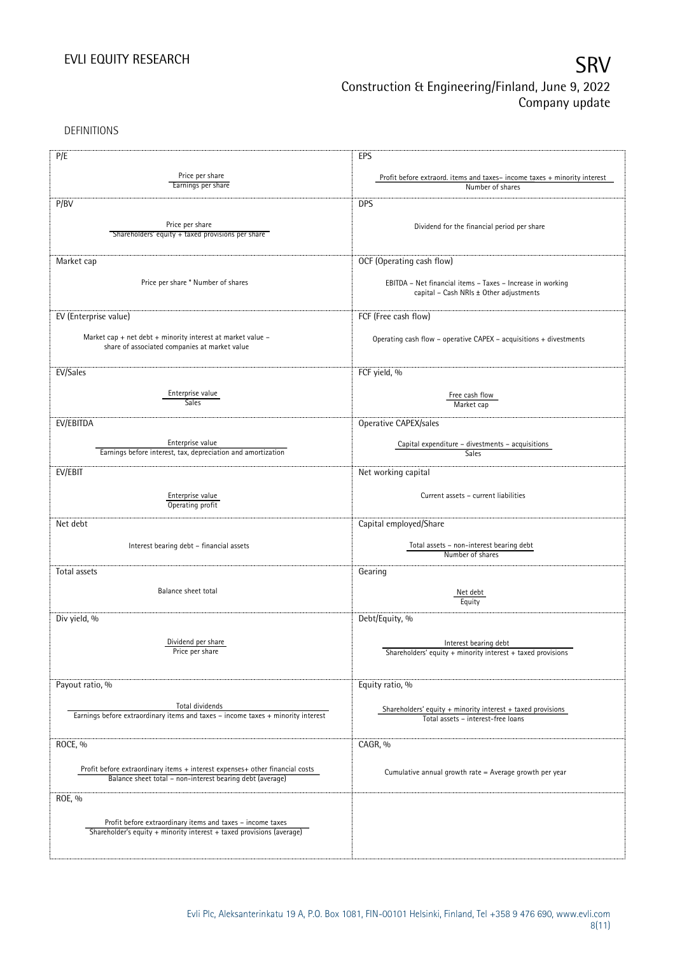DEFINITIONS

| P/E                                                                              | EPS                                                                                                   |  |
|----------------------------------------------------------------------------------|-------------------------------------------------------------------------------------------------------|--|
| Price per share                                                                  |                                                                                                       |  |
| Earnings per share                                                               | Profit before extraord. items and taxes-income taxes + minority interest<br>Number of shares          |  |
|                                                                                  |                                                                                                       |  |
| P/BV                                                                             | <b>DPS</b>                                                                                            |  |
| Price per share                                                                  |                                                                                                       |  |
| Shareholders' equity + taxed provisions per share                                | Dividend for the financial period per share                                                           |  |
|                                                                                  |                                                                                                       |  |
| Market cap                                                                       | OCF (Operating cash flow)                                                                             |  |
|                                                                                  |                                                                                                       |  |
| Price per share * Number of shares                                               | EBITDA - Net financial items - Taxes - Increase in working                                            |  |
|                                                                                  | capital - Cash NRIs ± Other adjustments                                                               |  |
|                                                                                  |                                                                                                       |  |
| EV (Enterprise value)                                                            | FCF (Free cash flow)                                                                                  |  |
|                                                                                  |                                                                                                       |  |
| Market cap + net debt + minority interest at market value -                      | Operating cash flow – operative CAPEX – acquisitions $+$ divestments                                  |  |
| share of associated companies at market value                                    |                                                                                                       |  |
|                                                                                  |                                                                                                       |  |
| EV/Sales                                                                         | FCF yield, %                                                                                          |  |
| Enterprise value                                                                 |                                                                                                       |  |
| Sales                                                                            | Free cash flow<br>Market cap                                                                          |  |
|                                                                                  |                                                                                                       |  |
| EV/EBITDA                                                                        | Operative CAPEX/sales                                                                                 |  |
|                                                                                  |                                                                                                       |  |
| Enterprise value<br>Earnings before interest, tax, depreciation and amortization | Capital expenditure - divestments - acquisitions<br>Sales                                             |  |
|                                                                                  |                                                                                                       |  |
| EV/EBIT                                                                          | Net working capital                                                                                   |  |
|                                                                                  |                                                                                                       |  |
| Enterprise value                                                                 | Current assets - current liabilities                                                                  |  |
| Operating profit                                                                 |                                                                                                       |  |
| Net debt                                                                         | Capital employed/Share                                                                                |  |
|                                                                                  |                                                                                                       |  |
| Interest bearing debt - financial assets                                         | Total assets - non-interest bearing debt                                                              |  |
|                                                                                  | Number of shares                                                                                      |  |
| Total assets                                                                     | Gearing                                                                                               |  |
|                                                                                  |                                                                                                       |  |
| Balance sheet total                                                              | Net debt                                                                                              |  |
|                                                                                  | Equity                                                                                                |  |
| Div yield, %                                                                     | Debt/Equity, %                                                                                        |  |
|                                                                                  |                                                                                                       |  |
| Dividend per share                                                               | Interest bearing debt                                                                                 |  |
| Price per share                                                                  | Shareholders' equity + minority interest + taxed provisions                                           |  |
|                                                                                  |                                                                                                       |  |
| Payout ratio, %                                                                  | Equity ratio, %                                                                                       |  |
|                                                                                  |                                                                                                       |  |
| Total dividends                                                                  |                                                                                                       |  |
| Earnings before extraordinary items and taxes - income taxes + minority interest | Shareholders' equity $+$ minority interest $+$ taxed provisions<br>Total assets - interest-free loans |  |
|                                                                                  |                                                                                                       |  |
| ROCE, %                                                                          | CAGR, %                                                                                               |  |
|                                                                                  |                                                                                                       |  |
| Profit before extraordinary items + interest expenses+ other financial costs     |                                                                                                       |  |
| Balance sheet total - non-interest bearing debt (average)                        | Cumulative annual growth rate = Average growth per year                                               |  |
|                                                                                  |                                                                                                       |  |
| ROE, %                                                                           |                                                                                                       |  |
|                                                                                  |                                                                                                       |  |
| Profit before extraordinary items and taxes - income taxes                       |                                                                                                       |  |
| Shareholder's equity + minority interest + taxed provisions (average)            |                                                                                                       |  |
|                                                                                  |                                                                                                       |  |
|                                                                                  |                                                                                                       |  |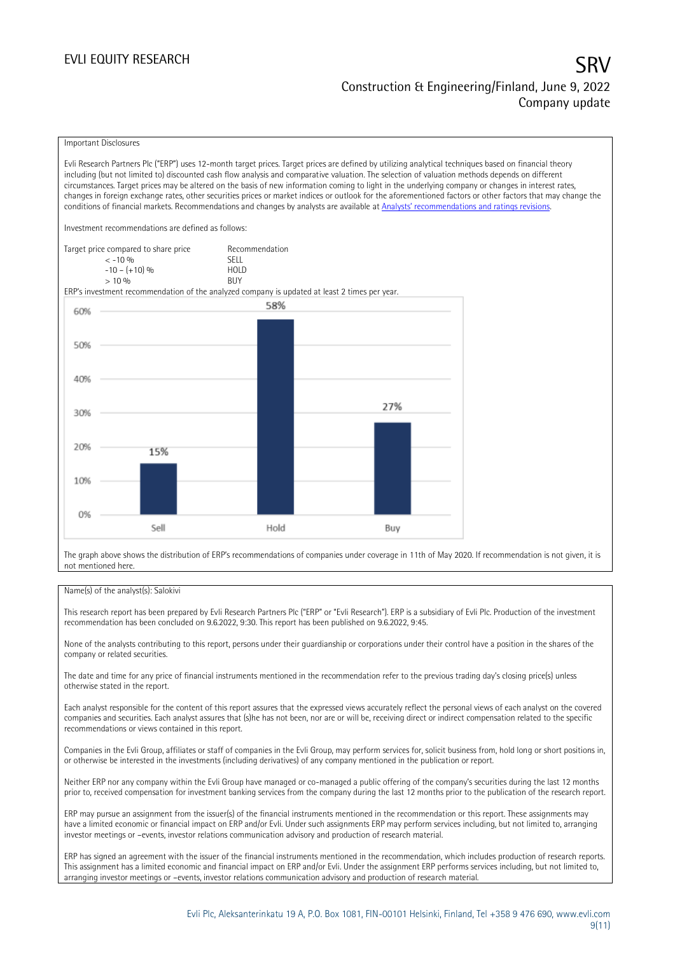### EVLI EQUITY RESEARCH SRV Construction & Engineering/Finland, June 9, 2022 Company update

### Important Disclosures

Evli Research Partners Plc ("ERP") uses 12-month target prices. Target prices are defined by utilizing analytical techniques based on financial theory including (but not limited to) discounted cash flow analysis and comparative valuation. The selection of valuation methods depends on different circumstances. Target prices may be altered on the basis of new information coming to light in the underlying company or changes in interest rates, changes in foreign exchange rates, other securities prices or market indices or outlook for the aforementioned factors or other factors that may change the conditions of financial markets. Recommendations and changes by analysts are available at [Analysts' recommendations and ratings revisions](https://research.evli.com/JasperAllModels.action?authParam=key;461&authParam=x;G3rNagWrtf7K&authType=3). Investment recommendations are defined as follows: Target price compared to share price Recommendation<br>CELL CALLO 06 < -10 % SELL  $-10 - (+10) \%$  HOL<br>  $> 10 \%$  BUY  $> 10\%$ ERP's investment recommendation of the analyzed company is updated at least 2 times per year. 58% 60% 50% 40% 27% 30% 20% 15%

0% Sell Hold Buy The graph above shows the distribution of ERP's recommendations of companies under coverage in 11th of May 2020. If recommendation is not given, it is

### Name(s) of the analyst(s): Salokivi

not mentioned here.

10%

This research report has been prepared by Evli Research Partners Plc ("ERP" or "Evli Research"). ERP is a subsidiary of Evli Plc. Production of the investment recommendation has been concluded on 9.6.2022, 9:30. This report has been published on 9.6.2022, 9:45.

None of the analysts contributing to this report, persons under their guardianship or corporations under their control have a position in the shares of the company or related securities.

The date and time for any price of financial instruments mentioned in the recommendation refer to the previous trading day's closing price(s) unless otherwise stated in the report.

Each analyst responsible for the content of this report assures that the expressed views accurately reflect the personal views of each analyst on the covered companies and securities. Each analyst assures that (s)he has not been, nor are or will be, receiving direct or indirect compensation related to the specific recommendations or views contained in this report.

Companies in the Evli Group, affiliates or staff of companies in the Evli Group, may perform services for, solicit business from, hold long or short positions in, or otherwise be interested in the investments (including derivatives) of any company mentioned in the publication or report.

Neither ERP nor any company within the Evli Group have managed or co-managed a public offering of the company's securities during the last 12 months prior to, received compensation for investment banking services from the company during the last 12 months prior to the publication of the research report.

ERP may pursue an assignment from the issuer(s) of the financial instruments mentioned in the recommendation or this report. These assignments may have a limited economic or financial impact on ERP and/or Evli. Under such assignments ERP may perform services including, but not limited to, arranging investor meetings or –events, investor relations communication advisory and production of research material.

ERP has signed an agreement with the issuer of the financial instruments mentioned in the recommendation, which includes production of research reports. This assignment has a limited economic and financial impact on ERP and/or Evli. Under the assignment ERP performs services including, but not limited to, arranging investor meetings or –events, investor relations communication advisory and production of research material.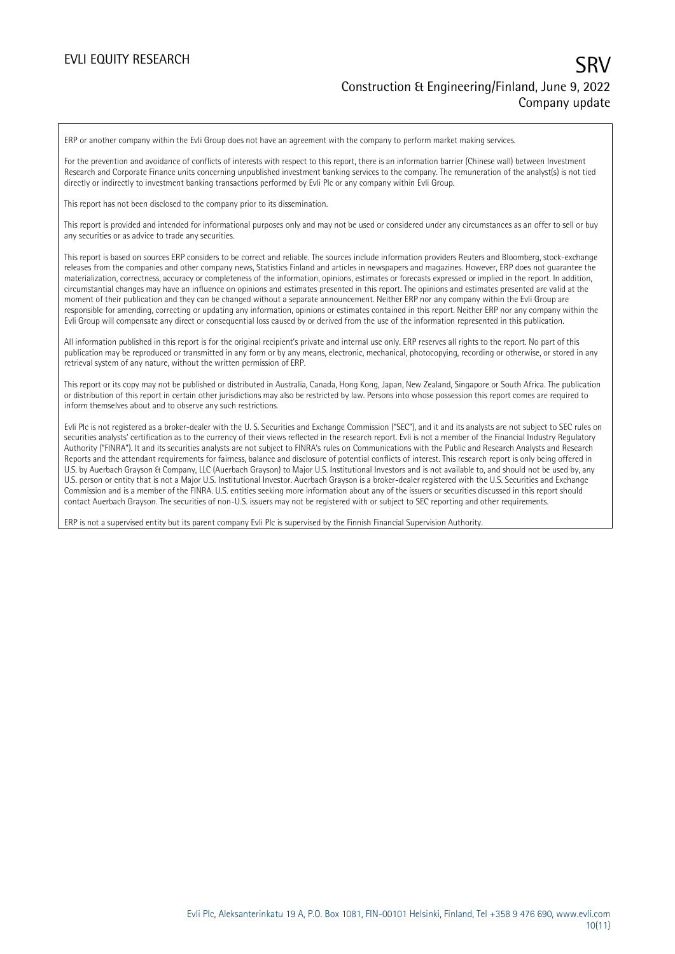ERP or another company within the Evli Group does not have an agreement with the company to perform market making services.

For the prevention and avoidance of conflicts of interests with respect to this report, there is an information barrier (Chinese wall) between Investment Research and Corporate Finance units concerning unpublished investment banking services to the company. The remuneration of the analyst(s) is not tied directly or indirectly to investment banking transactions performed by Evli Plc or any company within Evli Group.

This report has not been disclosed to the company prior to its dissemination.

This report is provided and intended for informational purposes only and may not be used or considered under any circumstances as an offer to sell or buy any securities or as advice to trade any securities.

This report is based on sources ERP considers to be correct and reliable. The sources include information providers Reuters and Bloomberg, stock-exchange releases from the companies and other company news, Statistics Finland and articles in newspapers and magazines. However, ERP does not guarantee the materialization, correctness, accuracy or completeness of the information, opinions, estimates or forecasts expressed or implied in the report. In addition, circumstantial changes may have an influence on opinions and estimates presented in this report. The opinions and estimates presented are valid at the moment of their publication and they can be changed without a separate announcement. Neither ERP nor any company within the Evli Group are responsible for amending, correcting or updating any information, opinions or estimates contained in this report. Neither ERP nor any company within the Evli Group will compensate any direct or consequential loss caused by or derived from the use of the information represented in this publication.

All information published in this report is for the original recipient's private and internal use only. ERP reserves all rights to the report. No part of this publication may be reproduced or transmitted in any form or by any means, electronic, mechanical, photocopying, recording or otherwise, or stored in any retrieval system of any nature, without the written permission of ERP.

This report or its copy may not be published or distributed in Australia, Canada, Hong Kong, Japan, New Zealand, Singapore or South Africa. The publication or distribution of this report in certain other jurisdictions may also be restricted by law. Persons into whose possession this report comes are required to inform themselves about and to observe any such restrictions.

Evli Plc is not registered as a broker-dealer with the U. S. Securities and Exchange Commission ("SEC"), and it and its analysts are not subject to SEC rules on securities analysts' certification as to the currency of their views reflected in the research report. Evli is not a member of the Financial Industry Regulatory Authority ("FINRA"). It and its securities analysts are not subject to FINRA's rules on Communications with the Public and Research Analysts and Research Reports and the attendant requirements for fairness, balance and disclosure of potential conflicts of interest. This research report is only being offered in U.S. by Auerbach Grayson & Company, LLC (Auerbach Grayson) to Major U.S. Institutional Investors and is not available to, and should not be used by, any U.S. person or entity that is not a Major U.S. Institutional Investor. Auerbach Grayson is a broker-dealer registered with the U.S. Securities and Exchange Commission and is a member of the FINRA. U.S. entities seeking more information about any of the issuers or securities discussed in this report should contact Auerbach Grayson. The securities of non-U.S. issuers may not be registered with or subject to SEC reporting and other requirements.

ERP is not a supervised entity but its parent company Evli Plc is supervised by the Finnish Financial Supervision Authority.